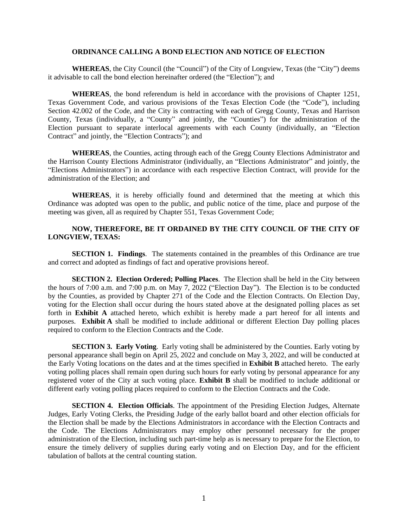#### **ORDINANCE CALLING A BOND ELECTION AND NOTICE OF ELECTION**

**WHEREAS**, the City Council (the "Council") of the City of Longview, Texas (the "City") deems it advisable to call the bond election hereinafter ordered (the "Election"); and

**WHEREAS**, the bond referendum is held in accordance with the provisions of Chapter 1251, Texas Government Code, and various provisions of the Texas Election Code (the "Code"), including Section 42.002 of the Code, and the City is contracting with each of Gregg County, Texas and Harrison County, Texas (individually, a "County" and jointly, the "Counties") for the administration of the Election pursuant to separate interlocal agreements with each County (individually, an "Election Contract" and jointly, the "Election Contracts"); and

**WHEREAS**, the Counties, acting through each of the Gregg County Elections Administrator and the Harrison County Elections Administrator (individually, an "Elections Administrator" and jointly, the "Elections Administrators") in accordance with each respective Election Contract, will provide for the administration of the Election; and

**WHEREAS**, it is hereby officially found and determined that the meeting at which this Ordinance was adopted was open to the public, and public notice of the time, place and purpose of the meeting was given, all as required by Chapter 551, Texas Government Code;

## **NOW, THEREFORE, BE IT ORDAINED BY THE CITY COUNCIL OF THE CITY OF LONGVIEW, TEXAS:**

**SECTION 1. Findings**. The statements contained in the preambles of this Ordinance are true and correct and adopted as findings of fact and operative provisions hereof.

**SECTION 2. Election Ordered; Polling Places**. The Election shall be held in the City between the hours of 7:00 a.m. and 7:00 p.m. on May 7, 2022 ("Election Day"). The Election is to be conducted by the Counties, as provided by Chapter 271 of the Code and the Election Contracts. On Election Day, voting for the Election shall occur during the hours stated above at the designated polling places as set forth in **Exhibit A** attached hereto, which exhibit is hereby made a part hereof for all intents and purposes. **Exhibit A** shall be modified to include additional or different Election Day polling places required to conform to the Election Contracts and the Code.

**SECTION 3. Early Voting**. Early voting shall be administered by the Counties. Early voting by personal appearance shall begin on April 25, 2022 and conclude on May 3, 2022, and will be conducted at the Early Voting locations on the dates and at the times specified in **Exhibit B** attached hereto. The early voting polling places shall remain open during such hours for early voting by personal appearance for any registered voter of the City at such voting place. **Exhibit B** shall be modified to include additional or different early voting polling places required to conform to the Election Contracts and the Code.

**SECTION 4. Election Officials**. The appointment of the Presiding Election Judges, Alternate Judges, Early Voting Clerks, the Presiding Judge of the early ballot board and other election officials for the Election shall be made by the Elections Administrators in accordance with the Election Contracts and the Code. The Elections Administrators may employ other personnel necessary for the proper administration of the Election, including such part-time help as is necessary to prepare for the Election, to ensure the timely delivery of supplies during early voting and on Election Day, and for the efficient tabulation of ballots at the central counting station.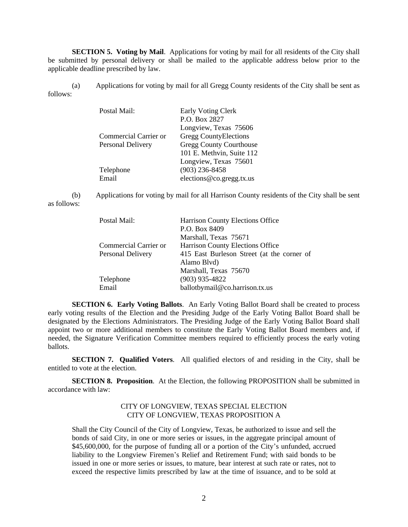**SECTION 5. Voting by Mail**. Applications for voting by mail for all residents of the City shall be submitted by personal delivery or shall be mailed to the applicable address below prior to the applicable deadline prescribed by law.

(a) Applications for voting by mail for all Gregg County residents of the City shall be sent as follows:

| Postal Mail:          | <b>Early Voting Clerk</b>      |  |  |
|-----------------------|--------------------------------|--|--|
|                       | P.O. Box 2827                  |  |  |
|                       | Longview, Texas 75606          |  |  |
| Commercial Carrier or | Gregg CountyElections          |  |  |
| Personal Delivery     | <b>Gregg County Courthouse</b> |  |  |
|                       | 101 E. Methvin, Suite 112      |  |  |
|                       | Longview, Texas 75601          |  |  |
| Telephone             | $(903)$ 236-8458               |  |  |
| Email                 | elections@co.gregg.tx.us       |  |  |

(b) Applications for voting by mail for all Harrison County residents of the City shall be sent as follows:

| Postal Mail:          | Harrison County Elections Office           |  |
|-----------------------|--------------------------------------------|--|
|                       | P.O. Box 8409                              |  |
|                       | Marshall, Texas 75671                      |  |
| Commercial Carrier or | Harrison County Elections Office           |  |
| Personal Delivery     | 415 East Burleson Street (at the corner of |  |
|                       | Alamo Blvd)                                |  |
|                       | Marshall, Texas 75670                      |  |
| Telephone             | $(903)$ 935-4822                           |  |
| Email                 | ballotbymail@co.harrison.tx.us             |  |

**SECTION 6. Early Voting Ballots**. An Early Voting Ballot Board shall be created to process early voting results of the Election and the Presiding Judge of the Early Voting Ballot Board shall be designated by the Elections Administrators. The Presiding Judge of the Early Voting Ballot Board shall appoint two or more additional members to constitute the Early Voting Ballot Board members and, if needed, the Signature Verification Committee members required to efficiently process the early voting ballots.

**SECTION 7. Qualified Voters**. All qualified electors of and residing in the City, shall be entitled to vote at the election.

**SECTION 8. Proposition**. At the Election, the following PROPOSITION shall be submitted in accordance with law:

## CITY OF LONGVIEW, TEXAS SPECIAL ELECTION CITY OF LONGVIEW, TEXAS PROPOSITION A

Shall the City Council of the City of Longview, Texas, be authorized to issue and sell the bonds of said City, in one or more series or issues, in the aggregate principal amount of \$45,600,000, for the purpose of funding all or a portion of the City's unfunded, accrued liability to the Longview Firemen's Relief and Retirement Fund; with said bonds to be issued in one or more series or issues, to mature, bear interest at such rate or rates, not to exceed the respective limits prescribed by law at the time of issuance, and to be sold at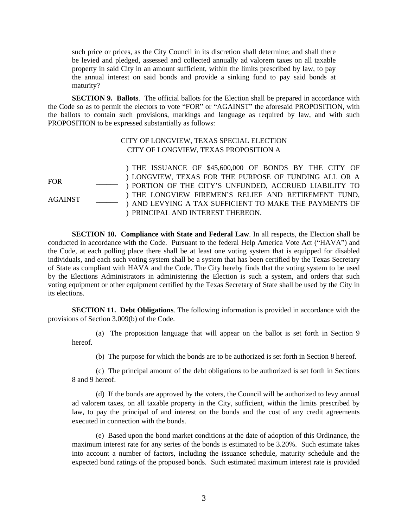such price or prices, as the City Council in its discretion shall determine; and shall there be levied and pledged, assessed and collected annually ad valorem taxes on all taxable property in said City in an amount sufficient, within the limits prescribed by law, to pay the annual interest on said bonds and provide a sinking fund to pay said bonds at maturity?

**SECTION 9. Ballots**. The official ballots for the Election shall be prepared in accordance with the Code so as to permit the electors to vote "FOR" or "AGAINST" the aforesaid PROPOSITION, with the ballots to contain such provisions, markings and language as required by law, and with such PROPOSITION to be expressed substantially as follows:

## CITY OF LONGVIEW, TEXAS SPECIAL ELECTION CITY OF LONGVIEW, TEXAS PROPOSITION A

 $FOR$ AGAINST \_\_\_\_\_\_ ) THE ISSUANCE OF \$45,600,000 OF BONDS BY THE CITY OF ) LONGVIEW, TEXAS FOR THE PURPOSE OF FUNDING ALL OR A ) PORTION OF THE CITY'S UNFUNDED, ACCRUED LIABILITY TO ) THE LONGVIEW FIREMEN'S RELIEF AND RETIREMENT FUND, ) AND LEVYING A TAX SUFFICIENT TO MAKE THE PAYMENTS OF ) PRINCIPAL AND INTEREST THEREON.

**SECTION 10. Compliance with State and Federal Law**. In all respects, the Election shall be conducted in accordance with the Code. Pursuant to the federal Help America Vote Act ("HAVA") and the Code, at each polling place there shall be at least one voting system that is equipped for disabled individuals, and each such voting system shall be a system that has been certified by the Texas Secretary of State as compliant with HAVA and the Code. The City hereby finds that the voting system to be used by the Elections Administrators in administering the Election is such a system, and orders that such voting equipment or other equipment certified by the Texas Secretary of State shall be used by the City in its elections.

**SECTION 11. Debt Obligations**. The following information is provided in accordance with the provisions of Section 3.009(b) of the Code.

(a) The proposition language that will appear on the ballot is set forth in Section 9 hereof.

(b) The purpose for which the bonds are to be authorized is set forth in Section 8 hereof.

(c) The principal amount of the debt obligations to be authorized is set forth in Sections 8 and 9 hereof.

(d) If the bonds are approved by the voters, the Council will be authorized to levy annual ad valorem taxes, on all taxable property in the City, sufficient, within the limits prescribed by law, to pay the principal of and interest on the bonds and the cost of any credit agreements executed in connection with the bonds.

(e) Based upon the bond market conditions at the date of adoption of this Ordinance, the maximum interest rate for any series of the bonds is estimated to be 3.20%. Such estimate takes into account a number of factors, including the issuance schedule, maturity schedule and the expected bond ratings of the proposed bonds. Such estimated maximum interest rate is provided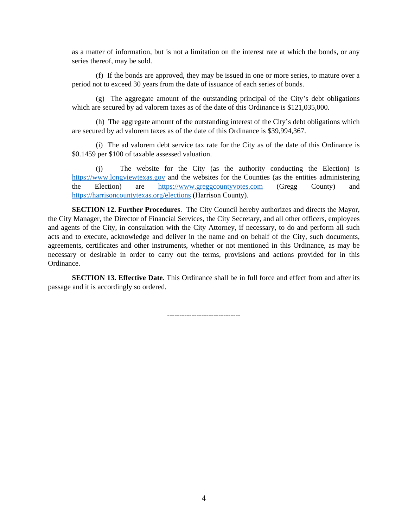as a matter of information, but is not a limitation on the interest rate at which the bonds, or any series thereof, may be sold.

(f) If the bonds are approved, they may be issued in one or more series, to mature over a period not to exceed 30 years from the date of issuance of each series of bonds.

(g) The aggregate amount of the outstanding principal of the City's debt obligations which are secured by ad valorem taxes as of the date of this Ordinance is \$121,035,000.

(h) The aggregate amount of the outstanding interest of the City's debt obligations which are secured by ad valorem taxes as of the date of this Ordinance is \$39,994,367.

(i) The ad valorem debt service tax rate for the City as of the date of this Ordinance is \$0.1459 per \$100 of taxable assessed valuation.

(j) The website for the City (as the authority conducting the Election) is <https://www.longviewtexas.gov> and the websites for the Counties (as the entities administering the Election) are <https://www.greggcountyvotes.com> (Gregg County) and <https://harrisoncountytexas.org/elections> (Harrison County).

**SECTION 12. Further Procedures**. The City Council hereby authorizes and directs the Mayor, the City Manager, the Director of Financial Services, the City Secretary, and all other officers, employees and agents of the City, in consultation with the City Attorney, if necessary, to do and perform all such acts and to execute, acknowledge and deliver in the name and on behalf of the City, such documents, agreements, certificates and other instruments, whether or not mentioned in this Ordinance, as may be necessary or desirable in order to carry out the terms, provisions and actions provided for in this Ordinance.

**SECTION 13. Effective Date**. This Ordinance shall be in full force and effect from and after its passage and it is accordingly so ordered.

------------------------------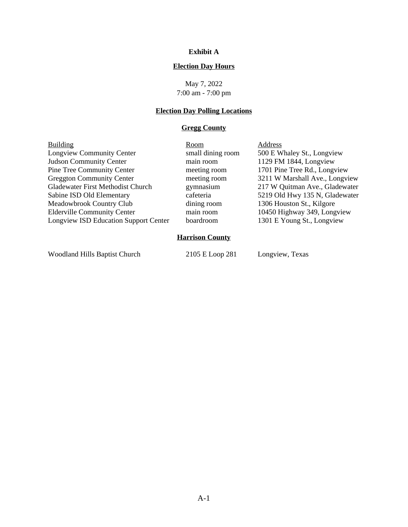## **Exhibit A**

## **Election Day Hours**

May 7, 2022 7:00 am - 7:00 pm

# **Election Day Polling Locations**

## **Gregg County**

| 500 E Whaley St., Longview<br>1129 FM 1844, Longview |  |  |  |  |  |  |
|------------------------------------------------------|--|--|--|--|--|--|
|                                                      |  |  |  |  |  |  |
|                                                      |  |  |  |  |  |  |
| 1701 Pine Tree Rd., Longview                         |  |  |  |  |  |  |
| 3211 W Marshall Ave., Longview                       |  |  |  |  |  |  |
| 217 W Quitman Ave., Gladewater                       |  |  |  |  |  |  |
| 5219 Old Hwy 135 N, Gladewater                       |  |  |  |  |  |  |
| 1306 Houston St., Kilgore                            |  |  |  |  |  |  |
| 10450 Highway 349, Longview                          |  |  |  |  |  |  |
| 1301 E Young St., Longview                           |  |  |  |  |  |  |
| <b>Harrison County</b>                               |  |  |  |  |  |  |
|                                                      |  |  |  |  |  |  |

Woodland Hills Baptist Church 2105 E Loop 281 Longview, Texas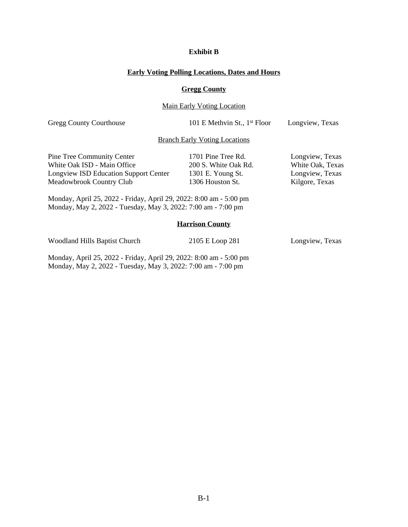## **Exhibit B**

#### **Early Voting Polling Locations, Dates and Hours**

#### **Gregg County**

## Main Early Voting Location

Gregg County Courthouse 101 E Methvin St., 1<sup>st</sup> Floor Longview, Texas

#### Branch Early Voting Locations

| Pine Tree Community Center                   | 1701 Pine Tree Rd.   | Longview, Texas  |
|----------------------------------------------|----------------------|------------------|
| White Oak ISD - Main Office                  | 200 S. White Oak Rd. | White Oak, Texas |
| <b>Longview ISD Education Support Center</b> | 1301 E. Young St.    | Longview, Texas  |
| Meadowbrook Country Club                     | 1306 Houston St.     | Kilgore, Texas   |
|                                              |                      |                  |

Monday, April 25, 2022 - Friday, April 29, 2022: 8:00 am - 5:00 pm Monday, May 2, 2022 - Tuesday, May 3, 2022: 7:00 am - 7:00 pm

#### **Harrison County**

Woodland Hills Baptist Church 2105 E Loop 281 Longview, Texas

Monday, April 25, 2022 - Friday, April 29, 2022: 8:00 am - 5:00 pm Monday, May 2, 2022 - Tuesday, May 3, 2022: 7:00 am - 7:00 pm